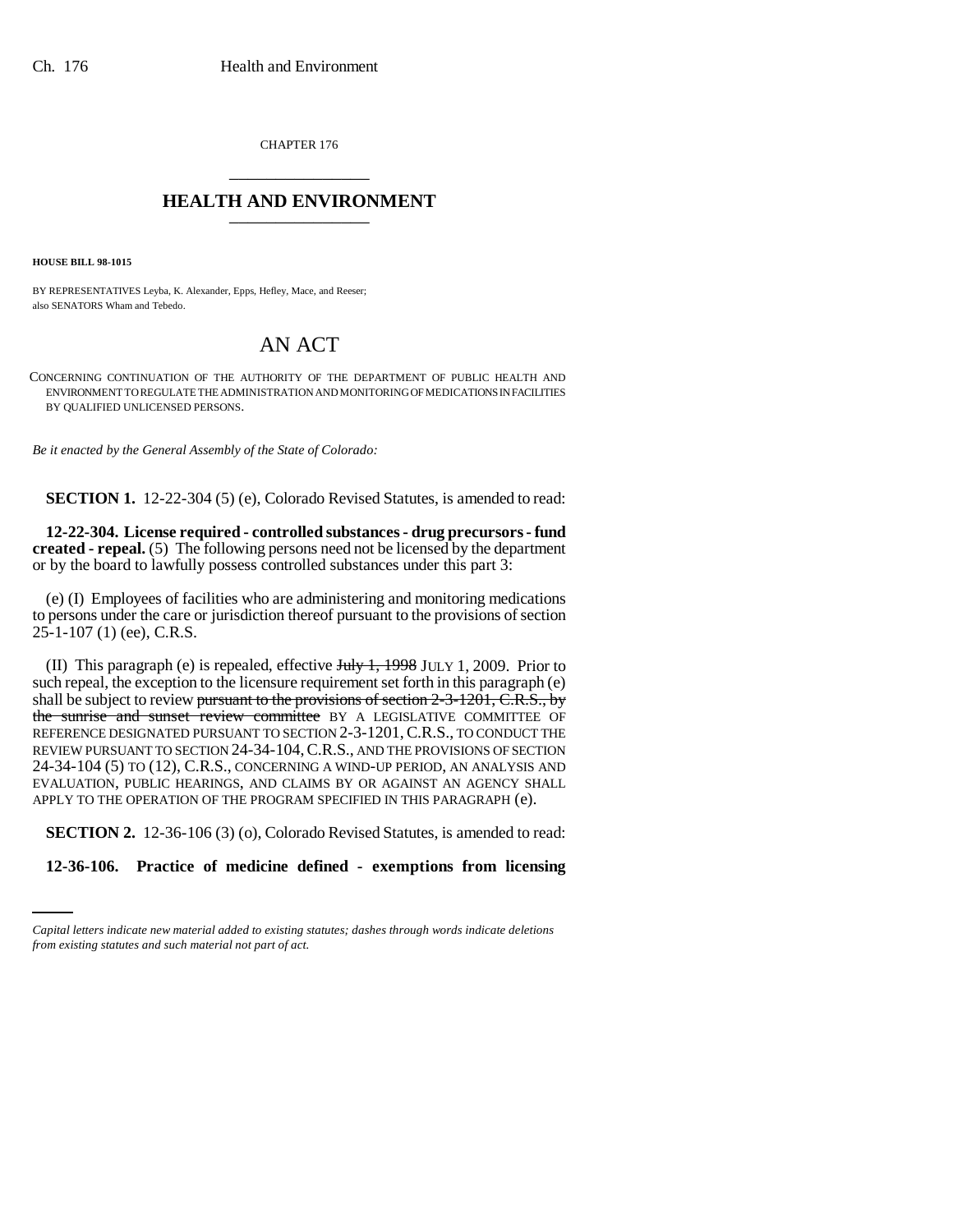CHAPTER 176 \_\_\_\_\_\_\_\_\_\_\_\_\_\_\_

## **HEALTH AND ENVIRONMENT** \_\_\_\_\_\_\_\_\_\_\_\_\_\_\_

**HOUSE BILL 98-1015**

BY REPRESENTATIVES Leyba, K. Alexander, Epps, Hefley, Mace, and Reeser; also SENATORS Wham and Tebedo.

## AN ACT

CONCERNING CONTINUATION OF THE AUTHORITY OF THE DEPARTMENT OF PUBLIC HEALTH AND ENVIRONMENT TO REGULATE THE ADMINISTRATION AND MONITORING OF MEDICATIONS IN FACILITIES BY QUALIFIED UNLICENSED PERSONS.

*Be it enacted by the General Assembly of the State of Colorado:*

**SECTION 1.** 12-22-304 (5) (e), Colorado Revised Statutes, is amended to read:

**12-22-304. License required - controlled substances - drug precursors - fund created - repeal.** (5) The following persons need not be licensed by the department or by the board to lawfully possess controlled substances under this part 3:

(e) (I) Employees of facilities who are administering and monitoring medications to persons under the care or jurisdiction thereof pursuant to the provisions of section 25-1-107 (1) (ee), C.R.S.

(II) This paragraph (e) is repealed, effective July 1, 1998 JULY 1, 2009. Prior to such repeal, the exception to the licensure requirement set forth in this paragraph (e) shall be subject to review pursuant to the provisions of section  $2-3-1201$ , C.R.S., by the sunrise and sunset review committee BY A LEGISLATIVE COMMITTEE OF REFERENCE DESIGNATED PURSUANT TO SECTION 2-3-1201, C.R.S., TO CONDUCT THE REVIEW PURSUANT TO SECTION 24-34-104,C.R.S., AND THE PROVISIONS OF SECTION 24-34-104 (5) TO (12), C.R.S., CONCERNING A WIND-UP PERIOD, AN ANALYSIS AND EVALUATION, PUBLIC HEARINGS, AND CLAIMS BY OR AGAINST AN AGENCY SHALL APPLY TO THE OPERATION OF THE PROGRAM SPECIFIED IN THIS PARAGRAPH (e).

**SECTION 2.** 12-36-106 (3) (o), Colorado Revised Statutes, is amended to read:

**12-36-106. Practice of medicine defined - exemptions from licensing**

*Capital letters indicate new material added to existing statutes; dashes through words indicate deletions from existing statutes and such material not part of act.*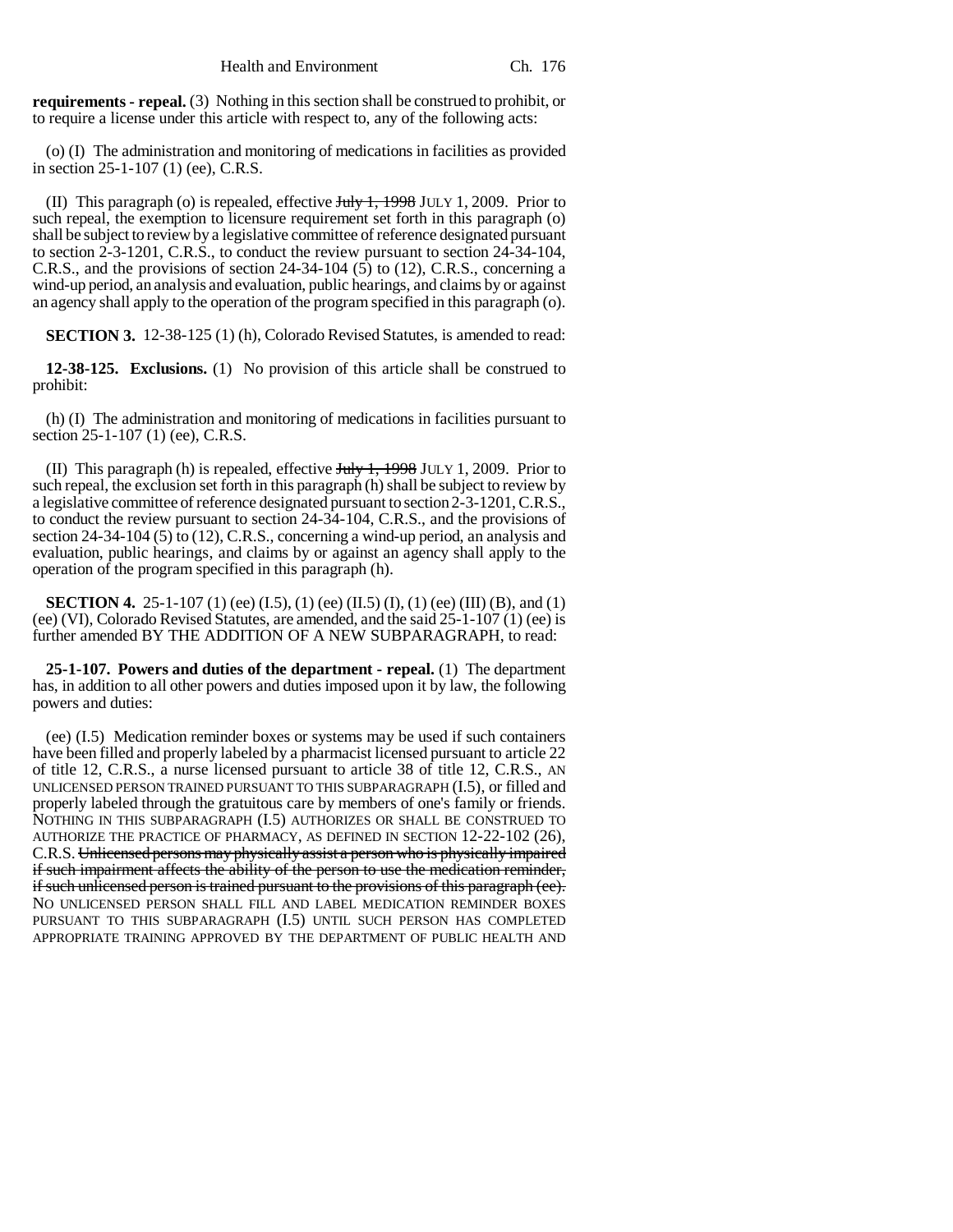**requirements - repeal.** (3) Nothing in this section shall be construed to prohibit, or to require a license under this article with respect to, any of the following acts:

(o) (I) The administration and monitoring of medications in facilities as provided in section 25-1-107 (1) (ee), C.R.S.

(II) This paragraph (o) is repealed, effective  $J_{\text{t}}$ ,  $J_{\text{t}}$ ,  $J_{\text{t}}$ ,  $J_{\text{t}}$  and  $J_{\text{t}}$  are  $J_{\text{t}}$  and  $J_{\text{t}}$  are  $J_{\text{t}}$  and  $J_{\text{t}}$  are  $J_{\text{t}}$  are  $J_{\text{t}}$  and  $J_{\text{t}}$  are  $J_{\text{t}}$  and such repeal, the exemption to licensure requirement set forth in this paragraph (o) shall be subject to review by a legislative committee of reference designated pursuant to section 2-3-1201, C.R.S., to conduct the review pursuant to section 24-34-104, C.R.S., and the provisions of section 24-34-104  $(5)$  to  $(12)$ , C.R.S., concerning a wind-up period, an analysis and evaluation, public hearings, and claims by or against an agency shall apply to the operation of the program specified in this paragraph (o).

**SECTION 3.** 12-38-125 (1) (h), Colorado Revised Statutes, is amended to read:

**12-38-125. Exclusions.** (1) No provision of this article shall be construed to prohibit:

(h) (I) The administration and monitoring of medications in facilities pursuant to section 25-1-107 (1) (ee), C.R.S.

(II) This paragraph (h) is repealed, effective  $J_{\text{t}}$ ,  $J_{\text{t}}$ ,  $J_{\text{t}}$ ,  $J_{\text{t}}$ ,  $J_{\text{t}}$  and  $J_{\text{t}}$  are to such repeal, the exclusion set forth in this paragraph (h) shall be subject to review by a legislative committee of reference designated pursuant to section 2-3-1201, C.R.S., to conduct the review pursuant to section 24-34-104, C.R.S., and the provisions of section 24-34-104 (5) to (12), C.R.S., concerning a wind-up period, an analysis and evaluation, public hearings, and claims by or against an agency shall apply to the operation of the program specified in this paragraph (h).

**SECTION 4.** 25-1-107 (1) (ee) (I.5), (1) (ee) (II.5) (I), (1) (ee) (III) (B), and (1) (ee) (VI), Colorado Revised Statutes, are amended, and the said 25-1-107 (1) (ee) is further amended BY THE ADDITION OF A NEW SUBPARAGRAPH, to read:

**25-1-107. Powers and duties of the department - repeal.** (1) The department has, in addition to all other powers and duties imposed upon it by law, the following powers and duties:

(ee) (I.5) Medication reminder boxes or systems may be used if such containers have been filled and properly labeled by a pharmacist licensed pursuant to article 22 of title 12, C.R.S., a nurse licensed pursuant to article 38 of title 12, C.R.S., AN UNLICENSED PERSON TRAINED PURSUANT TO THIS SUBPARAGRAPH (I.5), or filled and properly labeled through the gratuitous care by members of one's family or friends. NOTHING IN THIS SUBPARAGRAPH (I.5) AUTHORIZES OR SHALL BE CONSTRUED TO AUTHORIZE THE PRACTICE OF PHARMACY, AS DEFINED IN SECTION 12-22-102 (26), C.R.S. Unlicensed persons may physically assist a person who is physically impaired if such impairment affects the ability of the person to use the medication reminder, if such unlicensed person is trained pursuant to the provisions of this paragraph (ee). NO UNLICENSED PERSON SHALL FILL AND LABEL MEDICATION REMINDER BOXES PURSUANT TO THIS SUBPARAGRAPH (I.5) UNTIL SUCH PERSON HAS COMPLETED APPROPRIATE TRAINING APPROVED BY THE DEPARTMENT OF PUBLIC HEALTH AND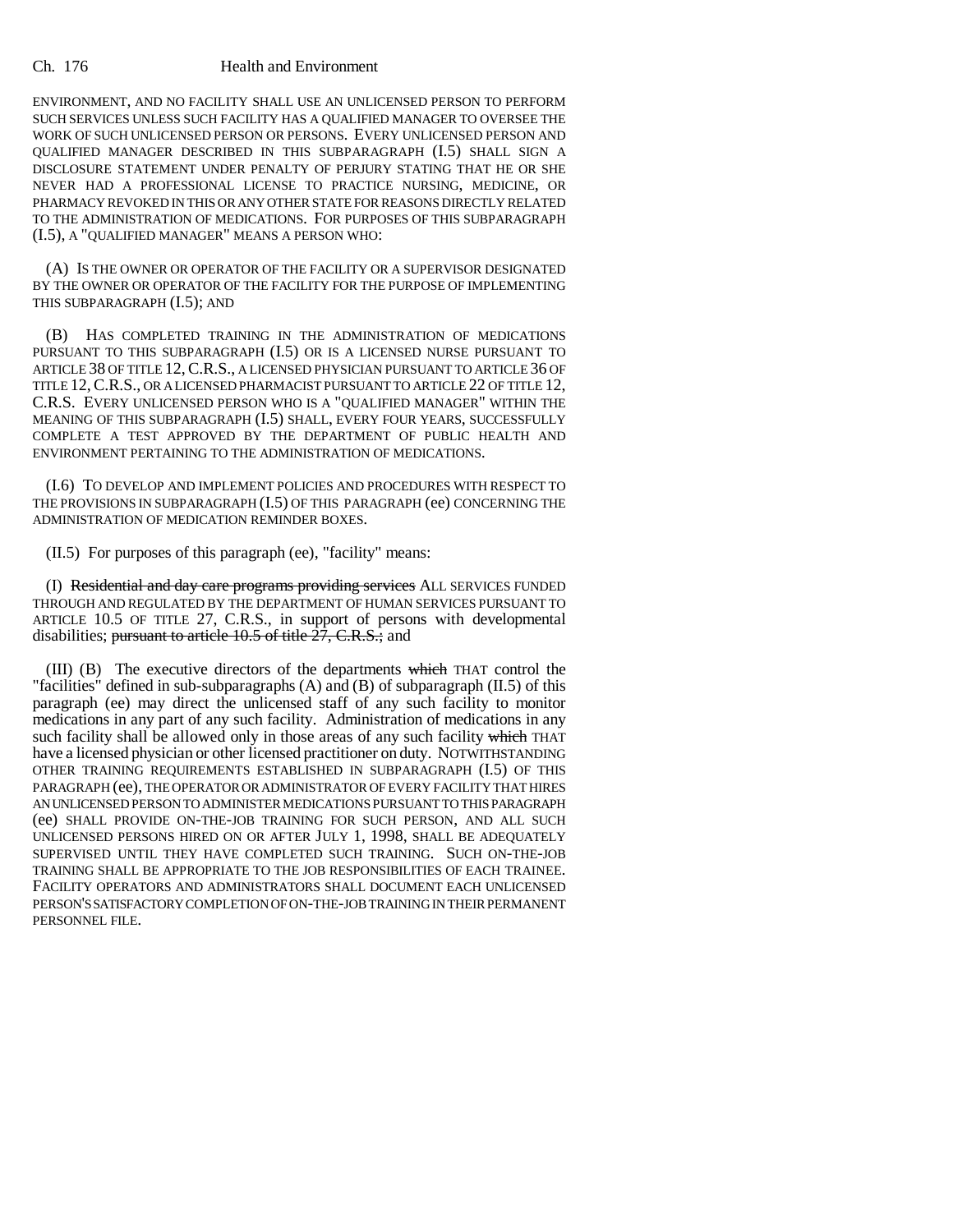## Ch. 176 Health and Environment

ENVIRONMENT, AND NO FACILITY SHALL USE AN UNLICENSED PERSON TO PERFORM SUCH SERVICES UNLESS SUCH FACILITY HAS A QUALIFIED MANAGER TO OVERSEE THE WORK OF SUCH UNLICENSED PERSON OR PERSONS. EVERY UNLICENSED PERSON AND QUALIFIED MANAGER DESCRIBED IN THIS SUBPARAGRAPH (I.5) SHALL SIGN A DISCLOSURE STATEMENT UNDER PENALTY OF PERJURY STATING THAT HE OR SHE NEVER HAD A PROFESSIONAL LICENSE TO PRACTICE NURSING, MEDICINE, OR PHARMACY REVOKED IN THIS OR ANY OTHER STATE FOR REASONS DIRECTLY RELATED TO THE ADMINISTRATION OF MEDICATIONS. FOR PURPOSES OF THIS SUBPARAGRAPH (I.5), A "QUALIFIED MANAGER" MEANS A PERSON WHO:

(A) IS THE OWNER OR OPERATOR OF THE FACILITY OR A SUPERVISOR DESIGNATED BY THE OWNER OR OPERATOR OF THE FACILITY FOR THE PURPOSE OF IMPLEMENTING THIS SUBPARAGRAPH (I.5); AND

(B) HAS COMPLETED TRAINING IN THE ADMINISTRATION OF MEDICATIONS PURSUANT TO THIS SUBPARAGRAPH (I.5) OR IS A LICENSED NURSE PURSUANT TO ARTICLE 38 OF TITLE 12, C.R.S., A LICENSED PHYSICIAN PURSUANT TO ARTICLE 36 OF TITLE 12,C.R.S., OR A LICENSED PHARMACIST PURSUANT TO ARTICLE 22 OF TITLE 12, C.R.S. EVERY UNLICENSED PERSON WHO IS A "QUALIFIED MANAGER" WITHIN THE MEANING OF THIS SUBPARAGRAPH (I.5) SHALL, EVERY FOUR YEARS, SUCCESSFULLY COMPLETE A TEST APPROVED BY THE DEPARTMENT OF PUBLIC HEALTH AND ENVIRONMENT PERTAINING TO THE ADMINISTRATION OF MEDICATIONS.

(I.6) TO DEVELOP AND IMPLEMENT POLICIES AND PROCEDURES WITH RESPECT TO THE PROVISIONS IN SUBPARAGRAPH (I.5) OF THIS PARAGRAPH (ee) CONCERNING THE ADMINISTRATION OF MEDICATION REMINDER BOXES.

(II.5) For purposes of this paragraph (ee), "facility" means:

(I) Residential and day care programs providing services ALL SERVICES FUNDED THROUGH AND REGULATED BY THE DEPARTMENT OF HUMAN SERVICES PURSUANT TO ARTICLE 10.5 OF TITLE 27, C.R.S., in support of persons with developmental disabilities; pursuant to article  $10.5$  of title  $27$ , C.R.S.; and

(III) (B) The executive directors of the departments which THAT control the "facilities" defined in sub-subparagraphs (A) and (B) of subparagraph (II.5) of this paragraph (ee) may direct the unlicensed staff of any such facility to monitor medications in any part of any such facility. Administration of medications in any such facility shall be allowed only in those areas of any such facility which THAT have a licensed physician or other licensed practitioner on duty. NOTWITHSTANDING OTHER TRAINING REQUIREMENTS ESTABLISHED IN SUBPARAGRAPH (I.5) OF THIS PARAGRAPH (ee), THE OPERATOR OR ADMINISTRATOR OF EVERY FACILITY THAT HIRES AN UNLICENSED PERSON TO ADMINISTER MEDICATIONS PURSUANT TO THIS PARAGRAPH (ee) SHALL PROVIDE ON-THE-JOB TRAINING FOR SUCH PERSON, AND ALL SUCH UNLICENSED PERSONS HIRED ON OR AFTER JULY 1, 1998, SHALL BE ADEQUATELY SUPERVISED UNTIL THEY HAVE COMPLETED SUCH TRAINING. SUCH ON-THE-JOB TRAINING SHALL BE APPROPRIATE TO THE JOB RESPONSIBILITIES OF EACH TRAINEE. FACILITY OPERATORS AND ADMINISTRATORS SHALL DOCUMENT EACH UNLICENSED PERSON'S SATISFACTORY COMPLETION OF ON-THE-JOB TRAINING IN THEIR PERMANENT PERSONNEL FILE.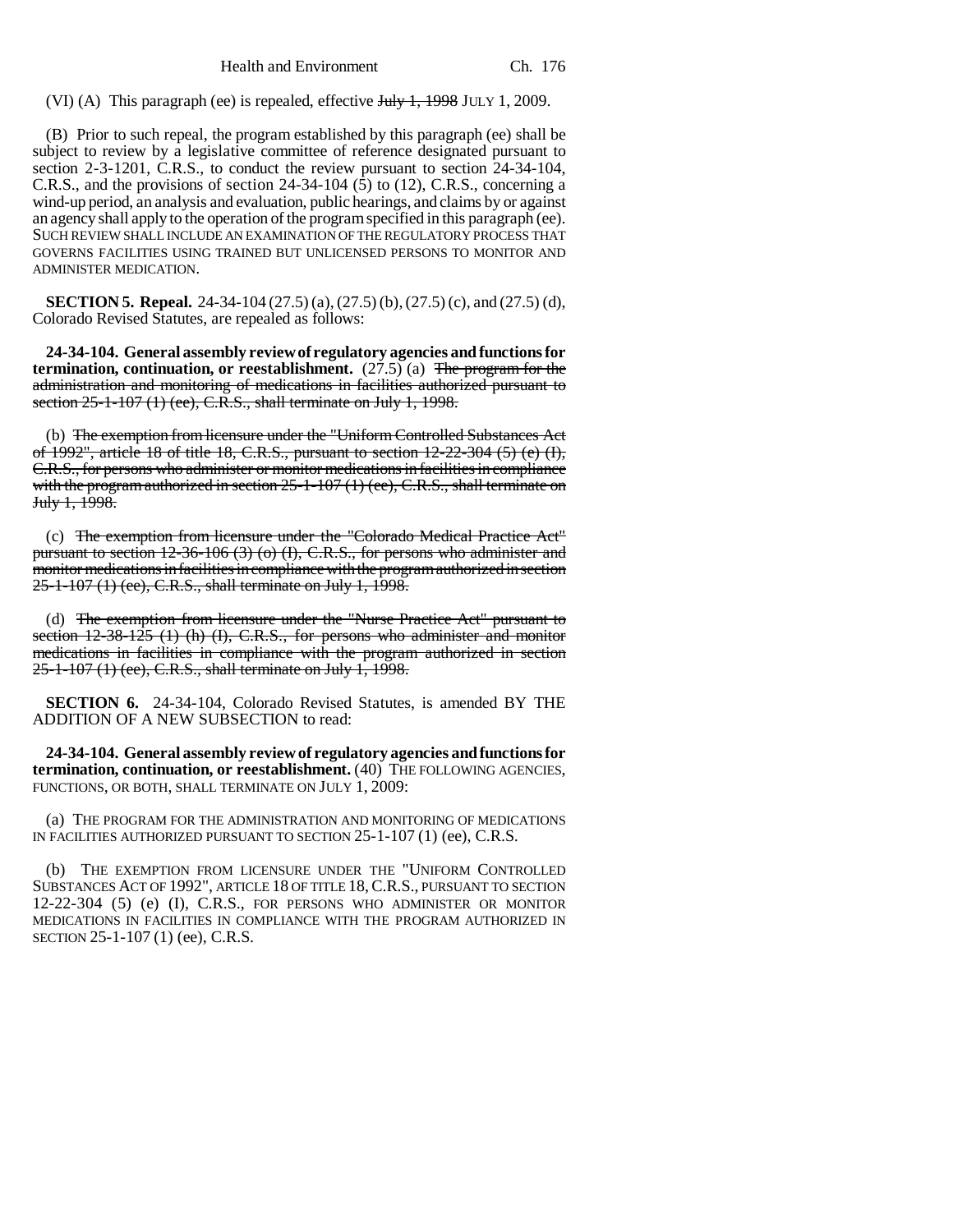Health and Environment Ch. 176

(VI) (A) This paragraph (ee) is repealed, effective July 1, 1998 JULY 1, 2009.

(B) Prior to such repeal, the program established by this paragraph (ee) shall be subject to review by a legislative committee of reference designated pursuant to section 2-3-1201, C.R.S., to conduct the review pursuant to section 24-34-104, C.R.S., and the provisions of section  $24-34-104$  (5) to (12), C.R.S., concerning a wind-up period, an analysis and evaluation, public hearings, and claims by or against an agency shall apply to the operation of the program specified in this paragraph (ee). SUCH REVIEW SHALL INCLUDE AN EXAMINATION OF THE REGULATORY PROCESS THAT GOVERNS FACILITIES USING TRAINED BUT UNLICENSED PERSONS TO MONITOR AND ADMINISTER MEDICATION.

**SECTION 5. Repeal.** 24-34-104 (27.5) (a), (27.5) (b), (27.5) (c), and (27.5) (d), Colorado Revised Statutes, are repealed as follows:

**24-34-104. General assembly review of regulatory agencies and functions for termination, continuation, or reestablishment.** (27.5) (a) The program for the administration and monitoring of medications in facilities authorized pursuant to section 25-1-107 (1) (ee), C.R.S., shall terminate on July 1, 1998.

(b) The exemption from licensure under the "Uniform Controlled Substances Act of 1992", article 18 of title 18, C.R.S., pursuant to section 12-22-304 (5) (e) (I), C.R.S., for persons who administer or monitor medications in facilities in compliance with the program authorized in section 25-1-107 (1) (ee), C.R.S., shall terminate on July 1, 1998.

(c) The exemption from licensure under the "Colorado Medical Practice Act" pursuant to section 12-36-106 (3) (o) (I), C.R.S., for persons who administer and monitor medications in facilities in compliance with the program authorized in section 25-1-107 (1) (ee), C.R.S., shall terminate on July 1, 1998.

(d) The exemption from licensure under the "Nurse Practice Act" pursuant to section  $12-38-125$  (1) (h) (I), C.R.S., for persons who administer and monitor medications in facilities in compliance with the program authorized in section 25-1-107 (1) (ee), C.R.S., shall terminate on July 1, 1998.

**SECTION 6.** 24-34-104, Colorado Revised Statutes, is amended BY THE ADDITION OF A NEW SUBSECTION to read:

**24-34-104. General assembly review of regulatory agencies and functions for** termination, continuation, or reestablishment. (40) THE FOLLOWING AGENCIES, FUNCTIONS, OR BOTH, SHALL TERMINATE ON JULY 1, 2009:

(a) THE PROGRAM FOR THE ADMINISTRATION AND MONITORING OF MEDICATIONS IN FACILITIES AUTHORIZED PURSUANT TO SECTION 25-1-107 (1) (ee), C.R.S.

(b) THE EXEMPTION FROM LICENSURE UNDER THE "UNIFORM CONTROLLED SUBSTANCES ACT OF 1992", ARTICLE 18 OF TITLE 18,C.R.S., PURSUANT TO SECTION 12-22-304 (5) (e) (I), C.R.S., FOR PERSONS WHO ADMINISTER OR MONITOR MEDICATIONS IN FACILITIES IN COMPLIANCE WITH THE PROGRAM AUTHORIZED IN SECTION 25-1-107 (1) (ee), C.R.S.